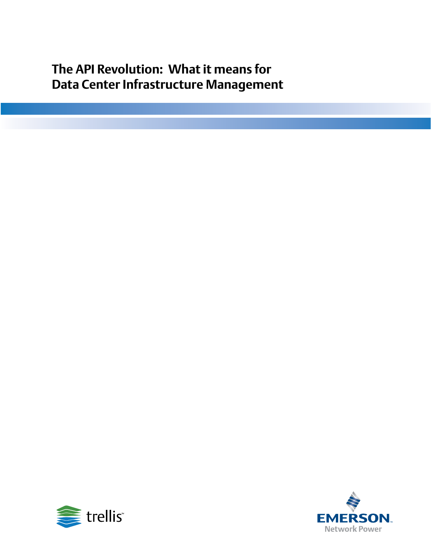**The API Revolution: What it means for Data Center Infrastructure Management** 



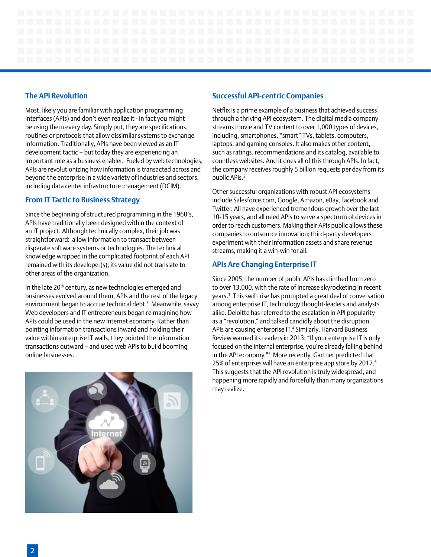# **The API Revolution**

Most, likely you are familiar with application programming interfaces (APIs) and don't even realize it - in fact you might be using them every day. Simply put, they are specifications, routines or protocols that allow dissimilar systems to exchange information. Traditionally, APIs have been viewed as an IT development tactic – but today they are experiencing an important role as a business enabler. Fueled by web technologies, APIs are revolutionizing how information is transacted across and beyond the enterprise in a wide variety of industries and sectors, including data center infrastructure management (DCIM).

# **From IT Tactic to Business Strategy**

Since the beginning of structured programming in the 1960's, APIs have traditionally been designed within the context of an IT project. Although technically complex, their job was straightforward: allow information to transact between disparate software systems or technologies. The technical knowledge wrapped in the complicated footprint of each API remained with its developer(s); its value did not translate to other areas of the organization.

In the late 20<sup>th</sup> century, as new technologies emerged and businesses evolved around them, APIs and the rest of the legacy environment began to accrue technical debt.1 Meanwhile, savvy Web developers and IT entrepreneurs began reimagining how APIs could be used in the new Internet economy. Rather than pointing information transactions inward and holding their value within enterprise IT walls, they pointed the information transactions outward – and used web APIs to build booming online businesses.



# **Successful API-centric Companies**

Netflix is a prime example of a business that achieved success through a thriving API ecosystem. The digital media company streams movie and TV content to over 1,000 types of devices, including, smartphones, "smart" TVs, tablets, computers, laptops, and gaming consoles. It also makes other content, such as ratings, recommendations and its catalog, available to countless websites. And it does all of this through APIs. In fact, the company receives roughly 5 billion requests per day from its public APIs.<sup>2</sup>

Other successful organizations with robust API ecosystems include Salesforce.com, Google, Amazon, eBay, Facebook and Twitter. All have experienced tremendous growth over the last 10-15 years, and all need APIs to serve a spectrum of devices in order to reach customers. Making their APIs public allows these companies to outsource innovation; third-party developers experiment with their information assets and share revenue streams, making it a win-win for all.

# **APIs Are Changing Enterprise IT**

Since 2005, the number of public APIs has climbed from zero to over 13,000, with the rate of increase skyrocketing in recent years.3 This swift rise has prompted a great deal of conversation among enterprise IT, technology thought-leaders and analysts alike. Deloitte has referred to the escalation in API popularity as a "revolution," and talked candidly about the disruption APIs are causing enterprise IT.<sup>4</sup> Similarly, Harvard Business Review warned its readers in 2013: "If your enterprise IT is only focused on the internal enterprise, you're already falling behind in the API economy."5 More recently, Gartner predicted that 25% of enterprises will have an enterprise app store by 2017.<sup>6</sup> This suggests that the API revolution is truly widespread, and happening more rapidly and forcefully than many organizations may realize.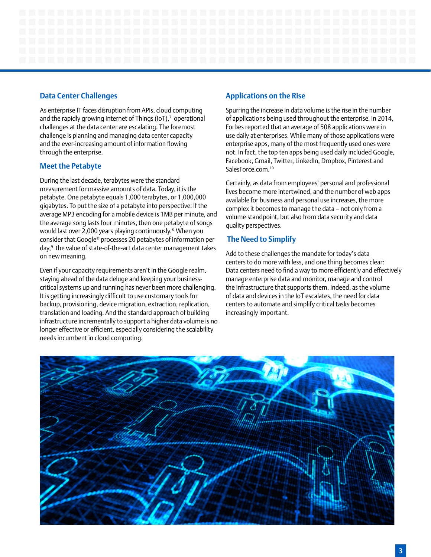### **Data Center Challenges**

As enterprise IT faces disruption from APIs, cloud computing and the rapidly growing Internet of Things (IoT), $^7$  operational challenges at the data center are escalating. The foremost challenge is planning and managing data center capacity and the ever-increasing amount of information flowing through the enterprise.

# **Meet the Petabyte**

During the last decade, terabytes were the standard measurement for massive amounts of data. Today, it is the petabyte. One petabyte equals 1,000 terabytes, or 1,000,000 gigabytes. To put the size of a petabyte into perspective: If the average MP3 encoding for a mobile device is 1MB per minute, and the average song lasts four minutes, then one petabyte of songs would last over 2,000 years playing continuously.8 When you consider that Google® processes 20 petabytes of information per day,9 the value of state-of-the-art data center management takes on new meaning.

Even if your capacity requirements aren't in the Google realm, staying ahead of the data deluge and keeping your businesscritical systems up and running has never been more challenging. It is getting increasingly difficult to use customary tools for backup, provisioning, device migration, extraction, replication, translation and loading. And the standard approach of building infrastructure incrementally to support a higher data volume is no longer effective or efficient, especially considering the scalability needs incumbent in cloud computing.

# **Applications on the Rise**

Spurring the increase in data volume is the rise in the number of applications being used throughout the enterprise. In 2014, Forbes reported that an average of 508 applications were in use daily at enterprises. While many of those applications were enterprise apps, many of the most frequently used ones were not. In fact, the top ten apps being used daily included Google, Facebook, Gmail, Twitter, LinkedIn, Dropbox, Pinterest and SalesForce.com.<sup>10</sup>

Certainly, as data from employees' personal and professional lives become more intertwined, and the number of web apps available for business and personal use increases, the more complex it becomes to manage the data – not only from a volume standpoint, but also from data security and data quality perspectives.

# **The Need to Simplify**

Add to these challenges the mandate for today's data centers to do more with less, and one thing becomes clear: Data centers need to find a way to more efficiently and effectively manage enterprise data and monitor, manage and control the infrastructure that supports them. Indeed, as the volume of data and devices in the IoT escalates, the need for data centers to automate and simplify critical tasks becomes increasingly important.

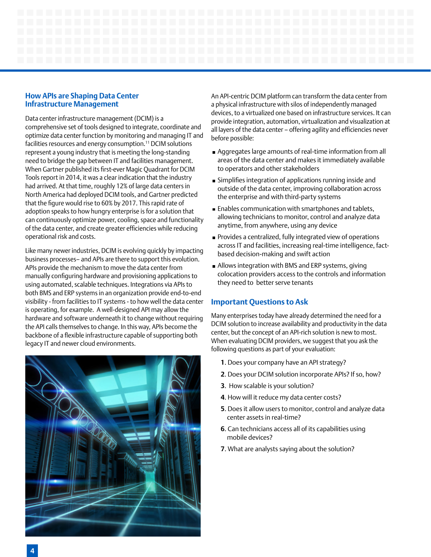### **How APIs are Shaping Data Center Infrastructure Management**

Data center infrastructure management (DCIM) is a comprehensive set of tools designed to integrate, coordinate and optimize data center function by monitoring and managing IT and facilities resources and energy consumption.11 DCIM solutions represent a young industry that is meeting the long-standing need to bridge the gap between IT and facilities management. When Gartner published its first-ever Magic Quadrant for DCIM Tools report in 2014, it was a clear indication that the industry had arrived. At that time, roughly 12% of large data centers in North America had deployed DCIM tools, and Gartner predicted that the figure would rise to 60% by 2017. This rapid rate of adoption speaks to how hungry enterprise is for a solution that can continuously optimize power, cooling, space and functionality of the data center, and create greater efficiencies while reducing operational risk and costs.

Like many newer industries, DCIM is evolving quickly by impacting business processes– and APIs are there to support this evolution. APIs provide the mechanism to move the data center from manually configuring hardware and provisioning applications to using automated, scalable techniques. Integrations via APIs to both BMS and ERP systems in an organization provide end-to-end visibility - from facilities to IT systems - to how well the data center is operating, for example. A well-designed API may allow the hardware and software underneath it to change without requiring the API calls themselves to change. In this way, APIs become the backbone of a flexible infrastructure capable of supporting both legacy IT and newer cloud environments.



An API-centric DCIM platform can transform the data center from a physical infrastructure with silos of independently managed devices, to a virtualized one based on infrastructure services. It can provide integration, automation, virtualization and visualization at all layers of the data center – offering agility and efficiencies never before possible:

- Aggregates large amounts of real-time information from all areas of the data center and makes it immediately available to operators and other stakeholders
- Simplifies integration of applications running inside and outside of the data center, improving collaboration across the enterprise and with third-party systems
- Enables communication with smartphones and tablets, allowing technicians to monitor, control and analyze data anytime, from anywhere, using any device
- Provides a centralized, fully integrated view of operations across IT and facilities, increasing real-time intelligence, factbased decision-making and swift action
- Allows integration with BMS and ERP systems, giving colocation providers access to the controls and information they need to better serve tenants

### **Important Questions to Ask**

Many enterprises today have already determined the need for a DCIM solution to increase availability and productivity in the data center, but the concept of an API-rich solution is new to most. When evaluating DCIM providers, we suggest that you ask the following questions as part of your evaluation:

- **1**. Does your company have an API strategy?
- **2**. Does your DCIM solution incorporate APIs? If so, how?
- **3**. How scalable is your solution?
- **4**. How will it reduce my data center costs?
- **5**. Does it allow users to monitor, control and analyze data center assets in real-time?
- **6**. Can technicians access all of its capabilities using mobile devices?
- **7**. What are analysts saying about the solution?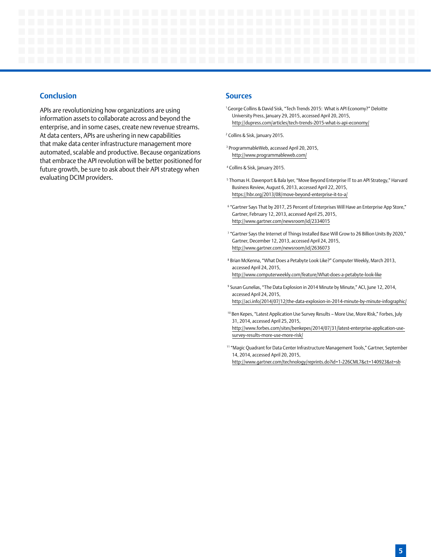### **Conclusion**

APIs are revolutionizing how organizations are using information assets to collaborate across and beyond the enterprise, and in some cases, create new revenue streams. At data centers, APIs are ushering in new capabilities that make data center infrastructure management more automated, scalable and productive. Because organizations that embrace the API revolution will be better positioned for future growth, be sure to ask about their API strategy when evaluating DCIM providers.

#### **Sources**

<sup>1</sup> George Collins & David Sisk, "Tech Trends 2015: What is API Economy?" Deloitte University Press, January 29, 2015, accessed April 20, 2015, http://dupress.com/articles/tech-trends-2015-what-is-api-economy/

2 Collins & Sisk, January 2015.

 3 ProgrammableWeb, accessed April 20, 2015, http://www.programmableweb.com/

4 Collins & Sisk, January 2015.

- <sup>5</sup> Thomas H. Davenport & Bala Iyer, "Move Beyond Enterprise IT to an API Strategy," Harvard Business Review, August 6, 2013, accessed April 22, 2015, https://hbr.org/2013/08/move-beyond-enterprise-it-to-a/
- 6 "Gartner Says That by 2017, 25 Percent of Enterprises Will Have an Enterprise App Store," Gartner, February 12, 2013, accessed April 25, 2015, http://www.gartner.com/newsroom/id/2334015
- <sup>7</sup> "Gartner Says the Internet of Things Installed Base Will Grow to 26 Billion Units By 2020," Gartner, December 12, 2013, accessed April 24, 2015, http://www.gartner.com/newsroom/id/2636073
- 8 Brian McKenna, "What Does a Petabyte Look Like?" Computer Weekly, March 2013, accessed April 24, 2015, http://www.computerweekly.com/feature/What-does-a-petabyte-look-like
- 9 Susan Gunelias, "The Data Explosion in 2014 Minute by Minute," ACI, June 12, 2014, accessed April 24, 2015, http://aci.info/2014/07/12/the-data-explosion-in-2014-minute-by-minute-infographic/
- <sup>10</sup> Ben Kepes, "Latest Application Use Survey Results More Use, More Risk," Forbes, July 31, 2014, accessed April 25, 2015, http://www.forbes.com/sites/benkepes/2014/07/31/latest-enterprise-application-usesurvey-results-more-use-more-risk/
- <sup>11</sup> "Magic Quadrant for Data Center Infrastructure Management Tools," Gartner, September 14, 2014, accessed April 20, 2015, http://www.gartner.com/technology/reprints.do?id=1-226CML7&ct=140923&st=sb